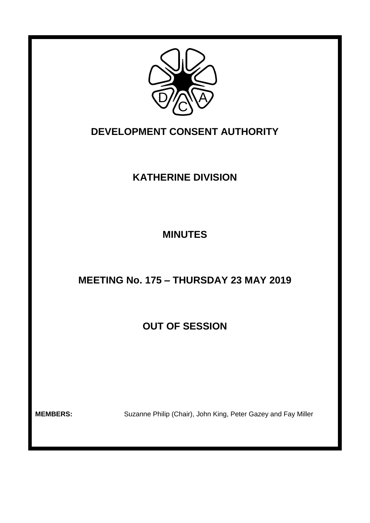

## **DEVELOPMENT CONSENT AUTHORITY**

# **KATHERINE DIVISION**

# **MINUTES**

## **MEETING No. 175 – THURSDAY 23 MAY 2019**

**OUT OF SESSION**

**MEMBERS:** Suzanne Philip (Chair), John King, Peter Gazey and Fay Miller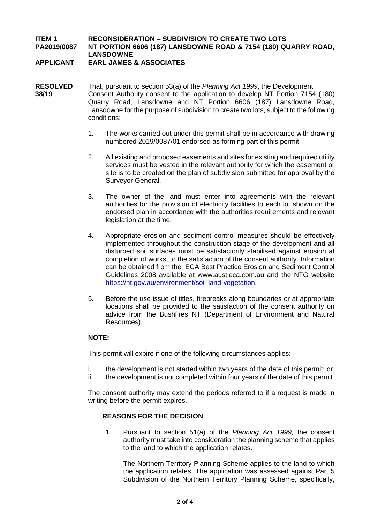## **ITEM 1 RECONSIDERATION – SUBDIVISION TO CREATE TWO LOTS PA2019/0087 NT PORTION 6606 (187) LANSDOWNE ROAD & 7154 (180) QUARRY ROAD, LANSDOWNE**

**APPLICANT EARL JAMES & ASSOCIATES**

- **RESOLVED** That, pursuant to section 53(a) of the *Planning Act 1999*, the Development **38/19** Consent Authority consent to the application to develop NT Portion 7154 (180) Quarry Road, Lansdowne and NT Portion 6606 (187) Lansdowne Road, Lansdowne for the purpose of subdivision to create two lots, subject to the following conditions:
	- 1. The works carried out under this permit shall be in accordance with drawing numbered 2019/0087/01 endorsed as forming part of this permit.
	- 2. All existing and proposed easements and sites for existing and required utility services must be vested in the relevant authority for which the easement or site is to be created on the plan of subdivision submitted for approval by the Surveyor General.
	- 3. The owner of the land must enter into agreements with the relevant authorities for the provision of electricity facilities to each lot shown on the endorsed plan in accordance with the authorities requirements and relevant legislation at the time.
	- 4. Appropriate erosion and sediment control measures should be effectively implemented throughout the construction stage of the development and all disturbed soil surfaces must be satisfactorily stabilised against erosion at completion of works, to the satisfaction of the consent authority. Information can be obtained from the IECA Best Practice Erosion and Sediment Control Guidelines 2008 available at www.austieca.com.au and the NTG website [https://nt.gov.au/environment/soil-land-vegetation.](https://nt.gov.au/environment/soil-land-vegetation)
	- 5. Before the use issue of titles, firebreaks along boundaries or at appropriate locations shall be provided to the satisfaction of the consent authority on advice from the Bushfires NT (Department of Environment and Natural Resources).

### **NOTE:**

This permit will expire if one of the following circumstances applies:

- i. the development is not started within two years of the date of this permit; or
- ii. the development is not completed within four years of the date of this permit.

The consent authority may extend the periods referred to if a request is made in writing before the permit expires.

### **REASONS FOR THE DECISION**

1. Pursuant to section 51(a) of the *Planning Act 1999,* the consent authority must take into consideration the planning scheme that applies to the land to which the application relates.

The Northern Territory Planning Scheme applies to the land to which the application relates. The application was assessed against Part 5 Subdivision of the Northern Territory Planning Scheme, specifically,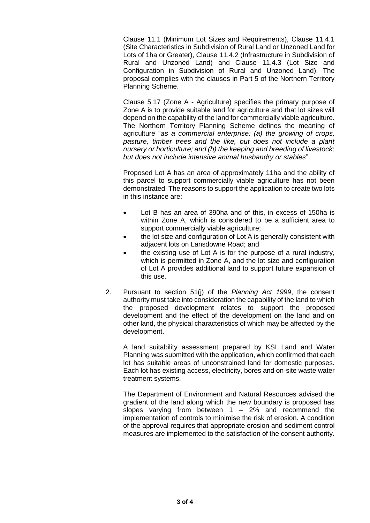Clause 11.1 (Minimum Lot Sizes and Requirements), Clause 11.4.1 (Site Characteristics in Subdivision of Rural Land or Unzoned Land for Lots of 1ha or Greater), Clause 11.4.2 (Infrastructure in Subdivision of Rural and Unzoned Land) and Clause 11.4.3 (Lot Size and Configuration in Subdivision of Rural and Unzoned Land). The proposal complies with the clauses in Part 5 of the Northern Territory Planning Scheme.

Clause 5.17 (Zone A - Agriculture) specifies the primary purpose of Zone A is to provide suitable land for agriculture and that lot sizes will depend on the capability of the land for commercially viable agriculture. The Northern Territory Planning Scheme defines the meaning of agriculture "*as a commercial enterprise: (a) the growing of crops, pasture, timber trees and the like, but does not include a plant nursery or horticulture; and (b) the keeping and breeding of livestock; but does not include intensive animal husbandry or stables*".

Proposed Lot A has an area of approximately 11ha and the ability of this parcel to support commercially viable agriculture has not been demonstrated. The reasons to support the application to create two lots in this instance are:

- Lot B has an area of 390ha and of this, in excess of 150ha is within Zone A, which is considered to be a sufficient area to support commercially viable agriculture;
- the lot size and configuration of Lot A is generally consistent with adjacent lots on Lansdowne Road; and
- the existing use of Lot A is for the purpose of a rural industry, which is permitted in Zone A, and the lot size and configuration of Lot A provides additional land to support future expansion of this use.
- 2. Pursuant to section 51(j) of the *Planning Act 1999*, the consent authority must take into consideration the capability of the land to which the proposed development relates to support the proposed development and the effect of the development on the land and on other land, the physical characteristics of which may be affected by the development.

A land suitability assessment prepared by KSI Land and Water Planning was submitted with the application, which confirmed that each lot has suitable areas of unconstrained land for domestic purposes. Each lot has existing access, electricity, bores and on-site waste water treatment systems.

The Department of Environment and Natural Resources advised the gradient of the land along which the new boundary is proposed has slopes varying from between  $1 - 2\%$  and recommend the implementation of controls to minimise the risk of erosion. A condition of the approval requires that appropriate erosion and sediment control measures are implemented to the satisfaction of the consent authority.